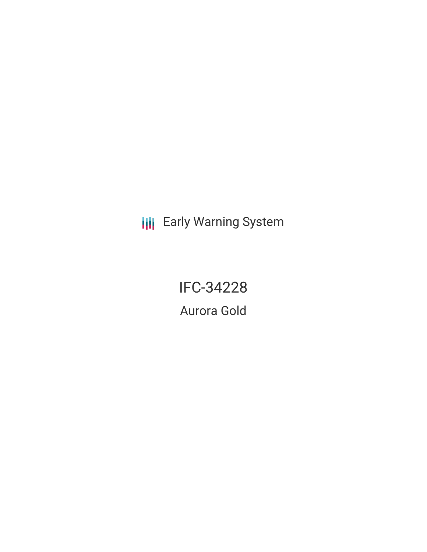**III** Early Warning System

IFC-34228 Aurora Gold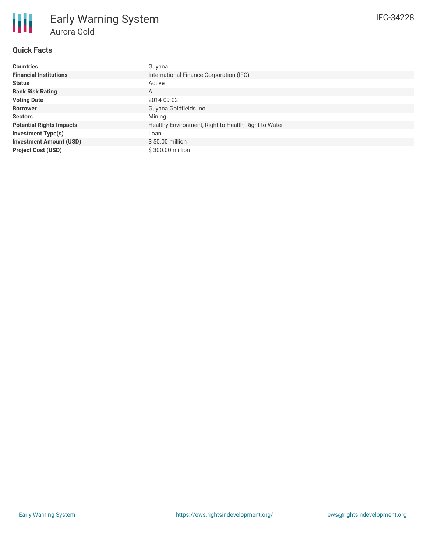# **Quick Facts**

朋

| <b>Countries</b>                | Guyana                                               |  |  |
|---------------------------------|------------------------------------------------------|--|--|
| <b>Financial Institutions</b>   | International Finance Corporation (IFC)              |  |  |
| <b>Status</b>                   | Active                                               |  |  |
| <b>Bank Risk Rating</b>         | A                                                    |  |  |
| <b>Voting Date</b>              | 2014-09-02                                           |  |  |
| <b>Borrower</b>                 | Guyana Goldfields Inc                                |  |  |
| <b>Sectors</b>                  | Mining                                               |  |  |
| <b>Potential Rights Impacts</b> | Healthy Environment, Right to Health, Right to Water |  |  |
| <b>Investment Type(s)</b>       | Loan                                                 |  |  |
| <b>Investment Amount (USD)</b>  | $$50.00$ million                                     |  |  |
| <b>Project Cost (USD)</b>       | \$300.00 million                                     |  |  |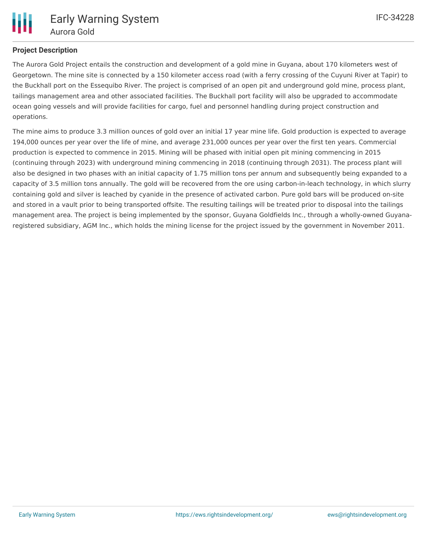

# **Project Description**

The Aurora Gold Project entails the construction and development of a gold mine in Guyana, about 170 kilometers west of Georgetown. The mine site is connected by a 150 kilometer access road (with a ferry crossing of the Cuyuni River at Tapir) to the Buckhall port on the Essequibo River. The project is comprised of an open pit and underground gold mine, process plant, tailings management area and other associated facilities. The Buckhall port facility will also be upgraded to accommodate ocean going vessels and will provide facilities for cargo, fuel and personnel handling during project construction and operations.

The mine aims to produce 3.3 million ounces of gold over an initial 17 year mine life. Gold production is expected to average 194,000 ounces per year over the life of mine, and average 231,000 ounces per year over the first ten years. Commercial production is expected to commence in 2015. Mining will be phased with initial open pit mining commencing in 2015 (continuing through 2023) with underground mining commencing in 2018 (continuing through 2031). The process plant will also be designed in two phases with an initial capacity of 1.75 million tons per annum and subsequently being expanded to a capacity of 3.5 million tons annually. The gold will be recovered from the ore using carbon-in-leach technology, in which slurry containing gold and silver is leached by cyanide in the presence of activated carbon. Pure gold bars will be produced on-site and stored in a vault prior to being transported offsite. The resulting tailings will be treated prior to disposal into the tailings management area. The project is being implemented by the sponsor, Guyana Goldfields Inc., through a wholly-owned Guyanaregistered subsidiary, AGM Inc., which holds the mining license for the project issued by the government in November 2011.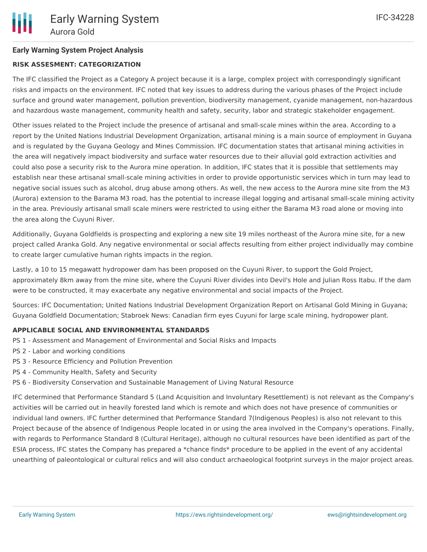# **Early Warning System Project Analysis**

## **RISK ASSESMENT: CATEGORIZATION**

The IFC classified the Project as a Category A project because it is a large, complex project with correspondingly significant risks and impacts on the environment. IFC noted that key issues to address during the various phases of the Project include surface and ground water management, pollution prevention, biodiversity management, cyanide management, non-hazardous and hazardous waste management, community health and safety, security, labor and strategic stakeholder engagement.

Other issues related to the Project include the presence of artisanal and small-scale mines within the area. According to a report by the United Nations Industrial Development Organization, artisanal mining is a main source of employment in Guyana and is regulated by the Guyana Geology and Mines Commission. IFC documentation states that artisanal mining activities in the area will negatively impact biodiversity and surface water resources due to their alluvial gold extraction activities and could also pose a security risk to the Aurora mine operation. In addition, IFC states that it is possible that settlements may establish near these artisanal small-scale mining activities in order to provide opportunistic services which in turn may lead to negative social issues such as alcohol, drug abuse among others. As well, the new access to the Aurora mine site from the M3 (Aurora) extension to the Barama M3 road, has the potential to increase illegal logging and artisanal small-scale mining activity in the area. Previously artisanal small scale miners were restricted to using either the Barama M3 road alone or moving into the area along the Cuyuni River.

Additionally, Guyana Goldfields is prospecting and exploring a new site 19 miles northeast of the Aurora mine site, for a new project called Aranka Gold. Any negative environmental or social affects resulting from either project individually may combine to create larger cumulative human rights impacts in the region.

Lastly, a 10 to 15 megawatt hydropower dam has been proposed on the Cuyuni River, to support the Gold Project, approximately 8km away from the mine site, where the Cuyuni River divides into Devil's Hole and Julian Ross Itabu. If the dam were to be constructed, it may exacerbate any negative environmental and social impacts of the Project.

Sources: IFC Documentation; United Nations Industrial Development Organization Report on Artisanal Gold Mining in Guyana; Guyana Goldfield Documentation; Stabroek News: Canadian firm eyes Cuyuni for large scale mining, hydropower plant.

#### **APPLICABLE SOCIAL AND ENVIRONMENTAL STANDARDS**

- PS 1 Assessment and Management of Environmental and Social Risks and Impacts
- PS 2 Labor and working conditions
- PS 3 Resource Efficiency and Pollution Prevention
- PS 4 Community Health, Safety and Security
- PS 6 Biodiversity Conservation and Sustainable Management of Living Natural Resource

IFC determined that Performance Standard 5 (Land Acquisition and Involuntary Resettlement) is not relevant as the Company's activities will be carried out in heavily forested land which is remote and which does not have presence of communities or individual land owners. IFC further determined that Performance Standard 7(Indigenous Peoples) is also not relevant to this Project because of the absence of Indigenous People located in or using the area involved in the Company's operations. Finally, with regards to Performance Standard 8 (Cultural Heritage), although no cultural resources have been identified as part of the ESIA process, IFC states the Company has prepared a \*chance finds\* procedure to be applied in the event of any accidental unearthing of paleontological or cultural relics and will also conduct archaeological footprint surveys in the major project areas.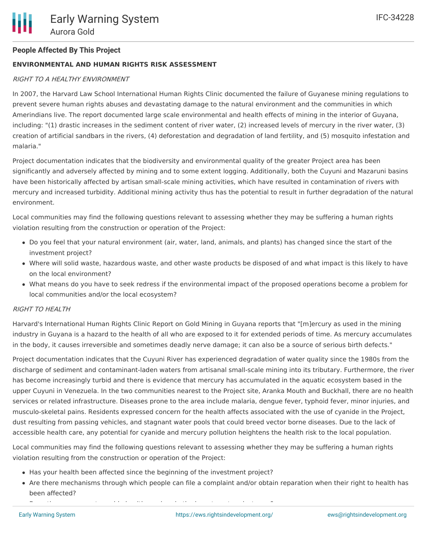## **ENVIRONMENTAL AND HUMAN RIGHTS RISK ASSESSMENT**

## RIGHT TO A HEALTHY ENVIRONMENT

In 2007, the Harvard Law School International Human Rights Clinic documented the failure of Guyanese mining regulations to prevent severe human rights abuses and devastating damage to the natural environment and the communities in which Amerindians live. The report documented large scale environmental and health effects of mining in the interior of Guyana, including: "(1) drastic increases in the sediment content of river water, (2) increased levels of mercury in the river water, (3) creation of artificial sandbars in the rivers, (4) deforestation and degradation of land fertility, and (5) mosquito infestation and malaria."

Project documentation indicates that the biodiversity and environmental quality of the greater Project area has been significantly and adversely affected by mining and to some extent logging. Additionally, both the Cuyuni and Mazaruni basins have been historically affected by artisan small-scale mining activities, which have resulted in contamination of rivers with mercury and increased turbidity. Additional mining activity thus has the potential to result in further degradation of the natural environment.

Local communities may find the following questions relevant to assessing whether they may be suffering a human rights violation resulting from the construction or operation of the Project:

- Do you feel that your natural environment (air, water, land, animals, and plants) has changed since the start of the investment project?
- Where will solid waste, hazardous waste, and other waste products be disposed of and what impact is this likely to have on the local environment?
- What means do you have to seek redress if the environmental impact of the proposed operations become a problem for local communities and/or the local ecosystem?

#### RIGHT TO HEALTH

Harvard's International Human Rights Clinic Report on Gold Mining in Guyana reports that "[m]ercury as used in the mining industry in Guyana is a hazard to the health of all who are exposed to it for extended periods of time. As mercury accumulates in the body, it causes irreversible and sometimes deadly nerve damage; it can also be a source of serious birth defects."

Project documentation indicates that the Cuyuni River has experienced degradation of water quality since the 1980s from the discharge of sediment and contaminant-laden waters from artisanal small-scale mining into its tributary. Furthermore, the river has become increasingly turbid and there is evidence that mercury has accumulated in the aquatic ecosystem based in the upper Cuyuni in Venezuela. In the two communities nearest to the Project site, Aranka Mouth and Buckhall, there are no health services or related infrastructure. Diseases prone to the area include malaria, dengue fever, typhoid fever, minor injuries, and musculo-skeletal pains. Residents expressed concern for the health affects associated with the use of cyanide in the Project, dust resulting from passing vehicles, and stagnant water pools that could breed vector borne diseases. Due to the lack of accessible health care, any potential for cyanide and mercury pollution heightens the health risk to the local population.

Local communities may find the following questions relevant to assessing whether they may be suffering a human rights violation resulting from the construction or operation of the Project:

- Has your health been affected since the beginning of the investment project?
- Are there mechanisms through which people can file a complaint and/or obtain reparation when their right to health has been affected?

<u>Does the government provide health services in the investment provide health services in the investment projec</u>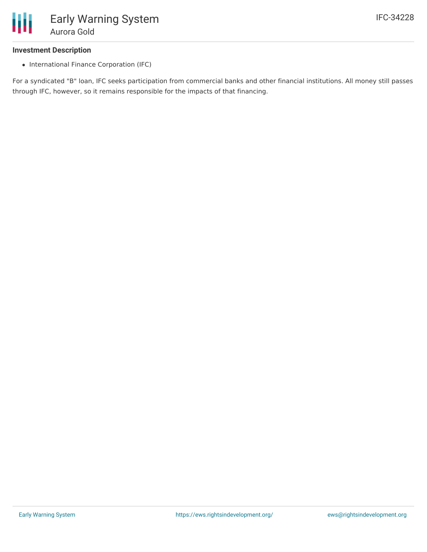

#### **Investment Description**

• International Finance Corporation (IFC)

For a syndicated "B" loan, IFC seeks participation from commercial banks and other financial institutions. All money still passes through IFC, however, so it remains responsible for the impacts of that financing.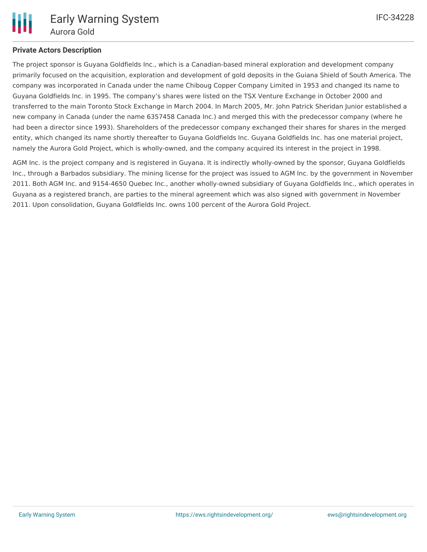

## **Private Actors Description**

The project sponsor is Guyana Goldfields Inc., which is a Canadian-based mineral exploration and development company primarily focused on the acquisition, exploration and development of gold deposits in the Guiana Shield of South America. The company was incorporated in Canada under the name Chiboug Copper Company Limited in 1953 and changed its name to Guyana Goldfields Inc. in 1995. The company's shares were listed on the TSX Venture Exchange in October 2000 and transferred to the main Toronto Stock Exchange in March 2004. In March 2005, Mr. John Patrick Sheridan Junior established a new company in Canada (under the name 6357458 Canada Inc.) and merged this with the predecessor company (where he had been a director since 1993). Shareholders of the predecessor company exchanged their shares for shares in the merged entity, which changed its name shortly thereafter to Guyana Goldfields Inc. Guyana Goldfields Inc. has one material project, namely the Aurora Gold Project, which is wholly-owned, and the company acquired its interest in the project in 1998.

AGM Inc. is the project company and is registered in Guyana. It is indirectly wholly-owned by the sponsor, Guyana Goldfields Inc., through a Barbados subsidiary. The mining license for the project was issued to AGM Inc. by the government in November 2011. Both AGM Inc. and 9154-4650 Quebec Inc., another wholly-owned subsidiary of Guyana Goldfields Inc., which operates in Guyana as a registered branch, are parties to the mineral agreement which was also signed with government in November 2011. Upon consolidation, Guyana Goldfields Inc. owns 100 percent of the Aurora Gold Project.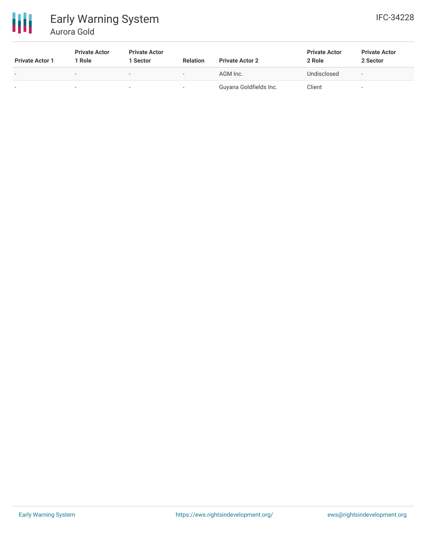

# Early Warning System Aurora Gold

| <b>Private Actor 1</b> | <b>Private Actor</b><br>1 Role | <b>Private Actor</b><br>1 Sector | <b>Relation</b> | <b>Private Actor 2</b> | <b>Private Actor</b><br>2 Role | <b>Private Actor</b><br>2 Sector |
|------------------------|--------------------------------|----------------------------------|-----------------|------------------------|--------------------------------|----------------------------------|
| $\,$                   | $\overline{\phantom{0}}$       | $\overline{\phantom{0}}$         | $-$             | AGM Inc.               | Undisclosed                    | $\overline{\phantom{a}}$         |
| $\,$                   |                                |                                  |                 | Guyana Goldfields Inc. | Client                         |                                  |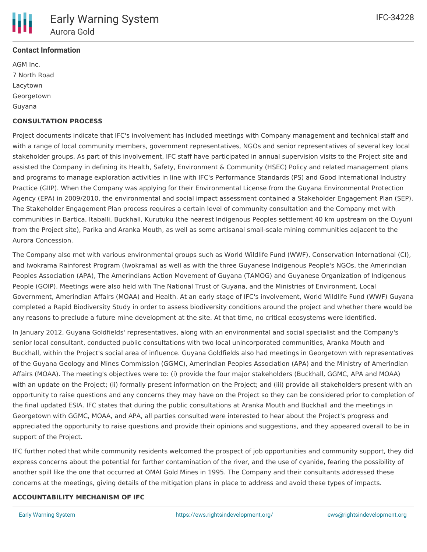

# **Contact Information**

AGM Inc. 7 North Road Lacytown Georgetown Guyana

## **CONSULTATION PROCESS**

Project documents indicate that IFC's involvement has included meetings with Company management and technical staff and with a range of local community members, government representatives, NGOs and senior representatives of several key local stakeholder groups. As part of this involvement, IFC staff have participated in annual supervision visits to the Project site and assisted the Company in defining its Health, Safety, Environment & Community (HSEC) Policy and related management plans and programs to manage exploration activities in line with IFC's Performance Standards (PS) and Good International Industry Practice (GIIP). When the Company was applying for their Environmental License from the Guyana Environmental Protection Agency (EPA) in 2009/2010, the environmental and social impact assessment contained a Stakeholder Engagement Plan (SEP). The Stakeholder Engagement Plan process requires a certain level of community consultation and the Company met with communities in Bartica, Itaballi, Buckhall, Kurutuku (the nearest Indigenous Peoples settlement 40 km upstream on the Cuyuni from the Project site), Parika and Aranka Mouth, as well as some artisanal small-scale mining communities adjacent to the Aurora Concession.

The Company also met with various environmental groups such as World Wildlife Fund (WWF), Conservation International (CI), and Iwokrama Rainforest Program (Iwokrama) as well as with the three Guyanese Indigenous People's NGOs, the Amerindian Peoples Association (APA), The Amerindians Action Movement of Guyana (TAMOG) and Guyanese Organization of Indigenous People (GOIP). Meetings were also held with The National Trust of Guyana, and the Ministries of Environment, Local Government, Amerindian Affairs (MOAA) and Health. At an early stage of IFC's involvement, World Wildlife Fund (WWF) Guyana completed a Rapid Biodiversity Study in order to assess biodiversity conditions around the project and whether there would be any reasons to preclude a future mine development at the site. At that time, no critical ecosystems were identified.

In January 2012, Guyana Goldfields' representatives, along with an environmental and social specialist and the Company's senior local consultant, conducted public consultations with two local unincorporated communities, Aranka Mouth and Buckhall, within the Project's social area of influence. Guyana Goldfields also had meetings in Georgetown with representatives of the Guyana Geology and Mines Commission (GGMC), Amerindian Peoples Association (APA) and the Ministry of Amerindian Affairs (MOAA). The meeting's objectives were to: (i) provide the four major stakeholders (Buckhall, GGMC, APA and MOAA) with an update on the Project; (ii) formally present information on the Project; and (iii) provide all stakeholders present with an opportunity to raise questions and any concerns they may have on the Project so they can be considered prior to completion of the final updated ESIA. IFC states that during the public consultations at Aranka Mouth and Buckhall and the meetings in Georgetown with GGMC, MOAA, and APA, all parties consulted were interested to hear about the Project's progress and appreciated the opportunity to raise questions and provide their opinions and suggestions, and they appeared overall to be in support of the Project.

IFC further noted that while community residents welcomed the prospect of job opportunities and community support, they did express concerns about the potential for further contamination of the river, and the use of cyanide, fearing the possibility of another spill like the one that occurred at OMAI Gold Mines in 1995. The Company and their consultants addressed these concerns at the meetings, giving details of the mitigation plans in place to address and avoid these types of impacts.

#### **ACCOUNTABILITY MECHANISM OF IFC**